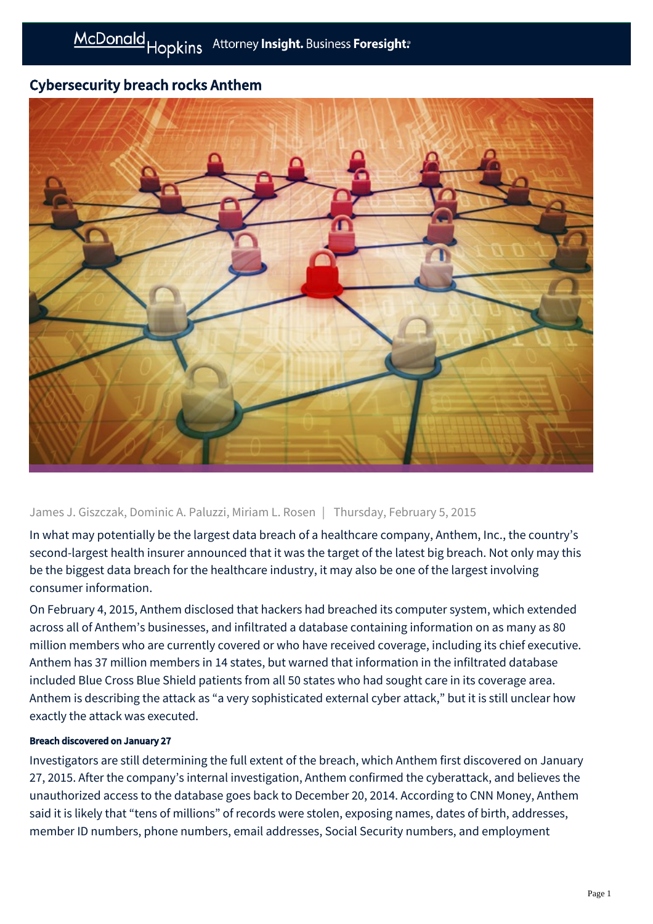# Cybersecurity breach rocks Anthem



# James J. Giszczak, Dominic A. Paluzzi, Miriam L. Rosen | Thursday, February 5, 2015

In what may potentially be the largest data breach of a healthcare company, Anthem, Inc., the country's second-largest health insurer announced that it was the target of the latest big breach. Not only may this be the biggest data breach for the healthcare industry, it may also be one of the largest involving consumer information.

On February 4, 2015, Anthem disclosed that hackers had breached its computer system, which extended across all of Anthem's businesses, and infiltrated a database containing information on as many as 80 million members who are currently covered or who have received coverage, including its chief executive. Anthem has 37 million members in 14 states, but warned that information in the infiltrated database included Blue Cross Blue Shield patients from all 50 states who had sought care in its coverage area. Anthem is describing the attack as "a very sophisticated external cyber attack," but it is still unclear how exactly the attack was executed.

#### Breach discovered on January 27

Investigators are still determining the full extent of the breach, which Anthem first discovered on January 27, 2015. After the company's internal investigation, Anthem confirmed the cyberattack, and believes the unauthorized access to the database goes back to December 20, 2014. According to CNN Money, Anthem said it is likely that "tens of millions" of records were stolen, exposing names, dates of birth, addresses, member ID numbers, phone numbers, email addresses, Social Security numbers, and employment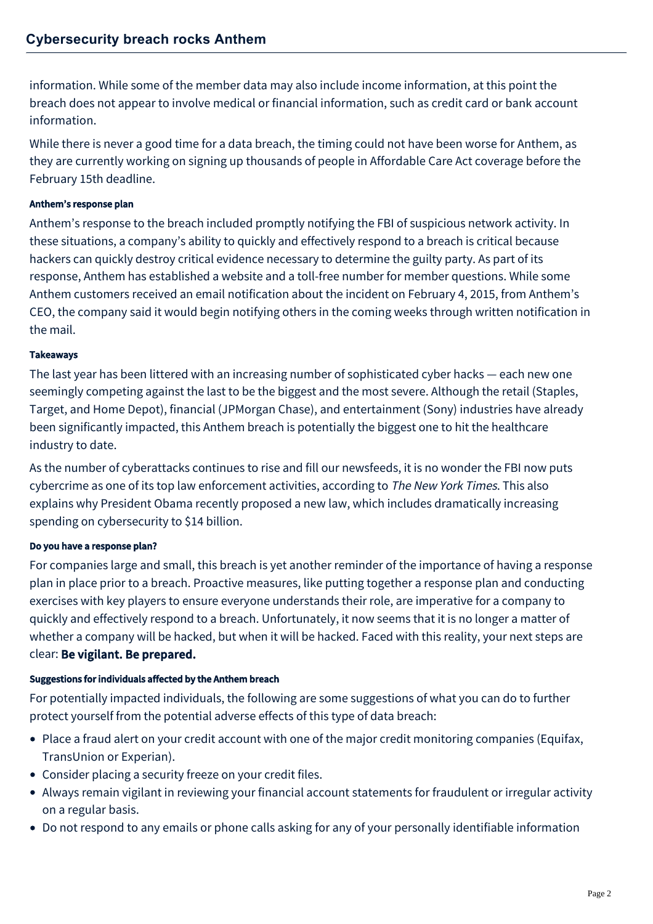information. While some of the member data may also include income information, at this point the breach does not appear to involve medical or financial information, such as credit card or bank account information.

While there is never a good time for a data breach, the timing could not have been worse for Anthem, as they are currently working on signing up thousands of people in Affordable Care Act coverage before the February 15th deadline.

### Anthem's response plan

Anthem's response to the breach included promptly notifying the FBI of suspicious network activity. In these situations, a company's ability to quickly and effectively respond to a breach is critical because hackers can quickly destroy critical evidence necessary to determine the guilty party. As part of its response, Anthem has established a website and a toll-free number for member questions. While some Anthem customers received an email notification about the incident on February 4, 2015, from Anthem's CEO, the company said it would begin notifying others in the coming weeks through written notification in the mail.

## Takeaways

The last year has been littered with an increasing number of sophisticated cyber hacks — each new one seemingly competing against the last to be the biggest and the most severe. Although the retail (Staples, Target, and Home Depot), financial (JPMorgan Chase), and entertainment (Sony) industries have already been significantly impacted, this Anthem breach is potentially the biggest one to hit the healthcare industry to date.

As the number of cyberattacks continues to rise and fill our newsfeeds, it is no wonder the FBI now puts cybercrime as one of its top law enforcement activities, according to The New York Times. This also explains why President Obama recently proposed a new law, which includes dramatically increasing spending on cybersecurity to \$14 billion.

# Do you have a response plan?

For companies large and small, this breach is yet another reminder of the importance of having a response plan in place prior to a breach. Proactive measures, like putting together a response plan and conducting exercises with key players to ensure everyone understands their role, are imperative for a company to quickly and effectively respond to a breach. Unfortunately, it now seems that it is no longer a matter of whether a company will be hacked, but when it will be hacked. Faced with this reality, your next steps are clear: Be vigilant. Be prepared.

#### Suggestions for individuals affected by the Anthem breach

For potentially impacted individuals, the following are some suggestions of what you can do to further protect yourself from the potential adverse effects of this type of data breach:

- Place a fraud alert on your credit account with one of the major credit monitoring companies (Equifax, TransUnion or Experian).
- Consider placing a security freeze on your credit files.
- Always remain vigilant in reviewing your financial account statements for fraudulent or irregular activity on a regular basis.
- Do not respond to any emails or phone calls asking for any of your personally identifiable information